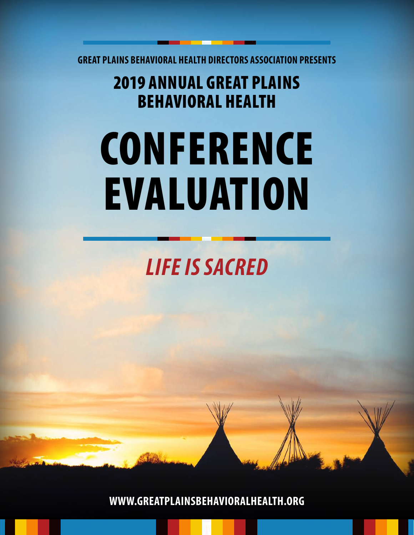**GREAT PLAINS BEHAVIORAL HEALTH DIRECTORS ASSOCIATION PRESENTS**

### 2019 ANNUAL GREAT PLAINS BEHAVIORAL HEALTH

# **CONFERENCE** EVALUATION

# *LIFE IS SACRED*

**WWW.GREATPLAINSBEHAVIORALHEALTH.ORG**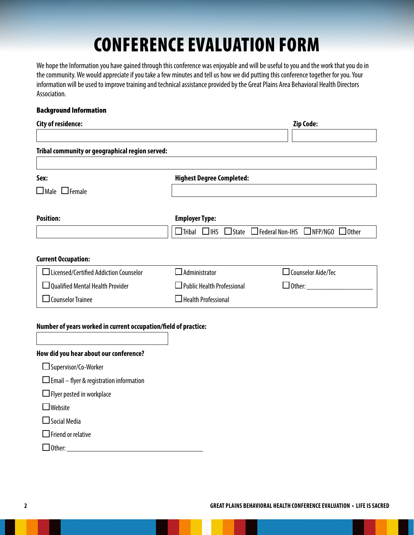## CONFERENCE EVALUATION FORM

We hope the Information you have gained through this conference was enjoyable and will be useful to you and the work that you do in the community. We would appreciate if you take a few minutes and tell us how we did putting this conference together for you. Your information will be used to improve training and technical assistance provided by the Great Plains Area Behavioral Health Directors Association.

#### Background Information

| City of residence:                              |                                   | <b>Zip Code:</b>                                                                         |
|-------------------------------------------------|-----------------------------------|------------------------------------------------------------------------------------------|
|                                                 |                                   |                                                                                          |
| Tribal community or geographical region served: |                                   |                                                                                          |
| Sex:                                            | <b>Highest Degree Completed:</b>  |                                                                                          |
| $\Box$ Male $\Box$ Female                       |                                   |                                                                                          |
| <b>Position:</b>                                | <b>Employer Type:</b>             |                                                                                          |
|                                                 |                                   | $\Box$ Tribal $\Box$ IHS $\Box$ State $\Box$ Federal Non-IHS $\Box$ NFP/NGO $\Box$ Other |
| <b>Current Occupation:</b>                      |                                   |                                                                                          |
| $\Box$ Licensed/Certified Addiction Counselor   | $\sf J$ Administrator             | $\Box$ Counselor Aide/Tec                                                                |
| $\Box$ Qualified Mental Health Provider         | $\Box$ Public Health Professional | $\Box$ Other:                                                                            |
| $\Box$ Counselor Trainee                        | $\Box$ Health Professional        |                                                                                          |

#### **Number of years worked in current occupation/field of practice:**

| How did you hear about our conference?          |
|-------------------------------------------------|
| □ Supervisor/Co-Worker                          |
| $\Box$ Email – flyer & registration information |
| $\Box$ Flyer posted in workplace                |
| $\Box$ Website                                  |
| $\square$ Social Media                          |
| $\Box$ Friend or relative                       |
| .)ther:                                         |
|                                                 |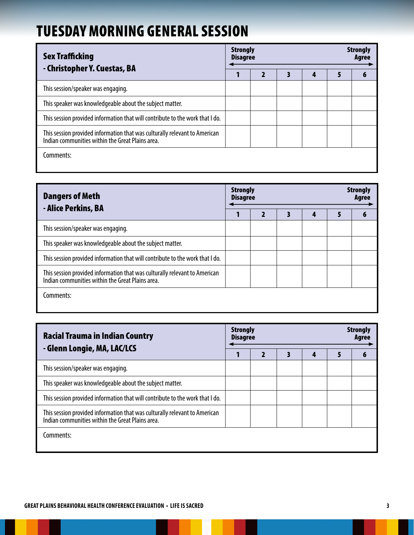### TUESDAY MORNING GENERAL SESSION

| <b>Sex Trafficking</b><br>- Christopher Y. Cuestas, BA                                                                         | <b>Strongly</b><br><b>Disagree</b> |   | <b>Strongly</b><br>Agree |   |   |   |
|--------------------------------------------------------------------------------------------------------------------------------|------------------------------------|---|--------------------------|---|---|---|
|                                                                                                                                |                                    | 2 | 3                        | 4 | 5 | 6 |
| This session/speaker was engaging.                                                                                             |                                    |   |                          |   |   |   |
| This speaker was knowledgeable about the subject matter.                                                                       |                                    |   |                          |   |   |   |
| This session provided information that will contribute to the work that I do.                                                  |                                    |   |                          |   |   |   |
| This session provided information that was culturally relevant to American<br>Indian communities within the Great Plains area. |                                    |   |                          |   |   |   |
| Comments:                                                                                                                      |                                    |   |                          |   |   |   |

| <b>Dangers of Meth</b><br>- Alice Perkins, BA                                                                                  | <b>Strongly</b><br><b>Disagree</b> |  | <b>Strongly</b><br>Agree |   |  |
|--------------------------------------------------------------------------------------------------------------------------------|------------------------------------|--|--------------------------|---|--|
|                                                                                                                                |                                    |  | 4                        | 5 |  |
| This session/speaker was engaging.                                                                                             |                                    |  |                          |   |  |
| This speaker was knowledgeable about the subject matter.                                                                       |                                    |  |                          |   |  |
| This session provided information that will contribute to the work that I do.                                                  |                                    |  |                          |   |  |
| This session provided information that was culturally relevant to American<br>Indian communities within the Great Plains area. |                                    |  |                          |   |  |
| Comments:                                                                                                                      |                                    |  |                          |   |  |

| <b>Racial Trauma in Indian Country</b><br>- Glenn Longie, MA, LAC/LCS                                                          | <b>Strongly</b><br><b>Strongly</b><br><b>Disagree</b> |  |  |   |   |   |  |  |
|--------------------------------------------------------------------------------------------------------------------------------|-------------------------------------------------------|--|--|---|---|---|--|--|
|                                                                                                                                |                                                       |  |  | 4 | 5 | 6 |  |  |
| This session/speaker was engaging.                                                                                             |                                                       |  |  |   |   |   |  |  |
| This speaker was knowledgeable about the subject matter.                                                                       |                                                       |  |  |   |   |   |  |  |
| This session provided information that will contribute to the work that I do.                                                  |                                                       |  |  |   |   |   |  |  |
| This session provided information that was culturally relevant to American<br>Indian communities within the Great Plains area. |                                                       |  |  |   |   |   |  |  |
| Comments:                                                                                                                      |                                                       |  |  |   |   |   |  |  |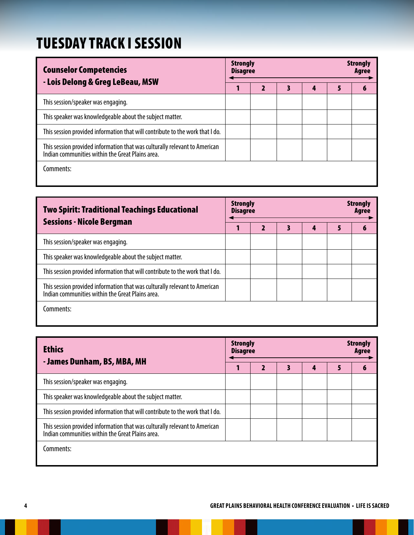### TUESDAY TRACK I SESSION

| <b>Counselor Competencies</b><br>- Lois Delong & Greg LeBeau, MSW                                                              | <b>Strongly</b><br><b>Disagree</b> |  | <b>Strongly</b><br>Agree |   |   |
|--------------------------------------------------------------------------------------------------------------------------------|------------------------------------|--|--------------------------|---|---|
|                                                                                                                                |                                    |  | 4                        | 5 | 6 |
| This session/speaker was engaging.                                                                                             |                                    |  |                          |   |   |
| This speaker was knowledgeable about the subject matter.                                                                       |                                    |  |                          |   |   |
| This session provided information that will contribute to the work that I do.                                                  |                                    |  |                          |   |   |
| This session provided information that was culturally relevant to American<br>Indian communities within the Great Plains area. |                                    |  |                          |   |   |
| Comments:                                                                                                                      |                                    |  |                          |   |   |

| <b>Two Spirit: Traditional Teachings Educational</b><br><b>Sessions - Nicole Bergman</b>                                       | <b>Strongly</b><br><b>Disagree</b> |   | <b>Strongly</b><br>Agree |   |   |   |
|--------------------------------------------------------------------------------------------------------------------------------|------------------------------------|---|--------------------------|---|---|---|
|                                                                                                                                |                                    | 2 | В                        | 4 | 5 | 6 |
| This session/speaker was engaging.                                                                                             |                                    |   |                          |   |   |   |
| This speaker was knowledgeable about the subject matter.                                                                       |                                    |   |                          |   |   |   |
| This session provided information that will contribute to the work that I do.                                                  |                                    |   |                          |   |   |   |
| This session provided information that was culturally relevant to American<br>Indian communities within the Great Plains area. |                                    |   |                          |   |   |   |
| Comments:                                                                                                                      |                                    |   |                          |   |   |   |

| <b>Ethics</b>                                                                                                                  |  | <b>Strongly</b><br><b>Strongly</b><br><b>Disagree</b> |  |   |   |   |  |  |
|--------------------------------------------------------------------------------------------------------------------------------|--|-------------------------------------------------------|--|---|---|---|--|--|
| - James Dunham, BS, MBA, MH                                                                                                    |  |                                                       |  | 4 | 5 | 6 |  |  |
| This session/speaker was engaging.                                                                                             |  |                                                       |  |   |   |   |  |  |
| This speaker was knowledgeable about the subject matter.                                                                       |  |                                                       |  |   |   |   |  |  |
| This session provided information that will contribute to the work that I do.                                                  |  |                                                       |  |   |   |   |  |  |
| This session provided information that was culturally relevant to American<br>Indian communities within the Great Plains area. |  |                                                       |  |   |   |   |  |  |
| Comments:                                                                                                                      |  |                                                       |  |   |   |   |  |  |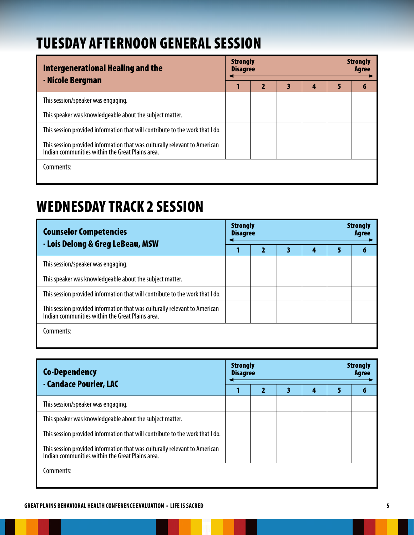### TUESDAY AFTERNOON GENERAL SESSION

| Intergenerational Healing and the                                                                                              |  | <b>Strongly</b><br><b>Disagree</b> | <b>Strongly</b><br><b>Agree</b> |   |   |
|--------------------------------------------------------------------------------------------------------------------------------|--|------------------------------------|---------------------------------|---|---|
| - Nicole Bergman                                                                                                               |  |                                    | 4                               | 5 | 6 |
| This session/speaker was engaging.                                                                                             |  |                                    |                                 |   |   |
| This speaker was knowledgeable about the subject matter.                                                                       |  |                                    |                                 |   |   |
| This session provided information that will contribute to the work that I do.                                                  |  |                                    |                                 |   |   |
| This session provided information that was culturally relevant to American<br>Indian communities within the Great Plains area. |  |                                    |                                 |   |   |
| Comments:                                                                                                                      |  |                                    |                                 |   |   |

### WEDNESDAY TRACK 2 SESSION

| <b>Counselor Competencies</b><br>- Lois Delong & Greg LeBeau, MSW                                                              | <b>Strongly</b><br><b>Disagree</b> |  | <b>Strongly</b><br>Agree |   |   |
|--------------------------------------------------------------------------------------------------------------------------------|------------------------------------|--|--------------------------|---|---|
|                                                                                                                                |                                    |  | 4                        | 5 | 6 |
| This session/speaker was engaging.                                                                                             |                                    |  |                          |   |   |
| This speaker was knowledgeable about the subject matter.                                                                       |                                    |  |                          |   |   |
| This session provided information that will contribute to the work that I do.                                                  |                                    |  |                          |   |   |
| This session provided information that was culturally relevant to American<br>Indian communities within the Great Plains area. |                                    |  |                          |   |   |
| Comments:                                                                                                                      |                                    |  |                          |   |   |

| <b>Co-Dependency</b><br>- Candace Pourier, LAC                                                                                 | <b>Strongly</b><br><b>Disagree</b> |   | <b>Strongly</b><br>Agree |   |  |
|--------------------------------------------------------------------------------------------------------------------------------|------------------------------------|---|--------------------------|---|--|
|                                                                                                                                |                                    | 3 | 4                        | 5 |  |
| This session/speaker was engaging.                                                                                             |                                    |   |                          |   |  |
| This speaker was knowledgeable about the subject matter.                                                                       |                                    |   |                          |   |  |
| This session provided information that will contribute to the work that I do.                                                  |                                    |   |                          |   |  |
| This session provided information that was culturally relevant to American<br>Indian communities within the Great Plains area. |                                    |   |                          |   |  |
| Comments:                                                                                                                      |                                    |   |                          |   |  |

#### **GREAT PLAINS BEHAVIORAL HEALTH CONFERENCE EVALUATION • LIFE IS SACRED 5**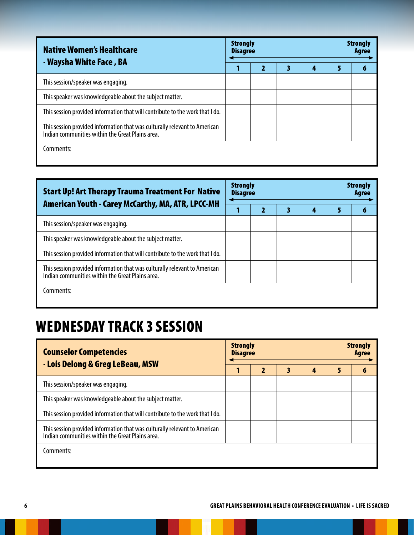| <b>Native Women's Healthcare</b><br>- Waysha White Face, BA                                                                    | <b>Strongly</b><br><b>Strongly</b><br><b>Disagree</b> |  |   |   |   |  |  |
|--------------------------------------------------------------------------------------------------------------------------------|-------------------------------------------------------|--|---|---|---|--|--|
|                                                                                                                                |                                                       |  | 3 | 4 | 5 |  |  |
| This session/speaker was engaging.                                                                                             |                                                       |  |   |   |   |  |  |
| This speaker was knowledgeable about the subject matter.                                                                       |                                                       |  |   |   |   |  |  |
| This session provided information that will contribute to the work that I do.                                                  |                                                       |  |   |   |   |  |  |
| This session provided information that was culturally relevant to American<br>Indian communities within the Great Plains area. |                                                       |  |   |   |   |  |  |
| Comments:                                                                                                                      |                                                       |  |   |   |   |  |  |

| <b>Start Up! Art Therapy Trauma Treatment For Native</b><br>American Youth - Carey McCarthy, MA, ATR, LPCC-MH                  | <b>Strongly</b><br><b>Disagree</b> |  |   | <b>Strongly</b><br>Agree |  |  |
|--------------------------------------------------------------------------------------------------------------------------------|------------------------------------|--|---|--------------------------|--|--|
|                                                                                                                                |                                    |  | 4 | 5                        |  |  |
| This session/speaker was engaging.                                                                                             |                                    |  |   |                          |  |  |
| This speaker was knowledgeable about the subject matter.                                                                       |                                    |  |   |                          |  |  |
| This session provided information that will contribute to the work that I do.                                                  |                                    |  |   |                          |  |  |
| This session provided information that was culturally relevant to American<br>Indian communities within the Great Plains area. |                                    |  |   |                          |  |  |
| Comments:                                                                                                                      |                                    |  |   |                          |  |  |

### WEDNESDAY TRACK 3 SESSION

| <b>Counselor Competencies</b><br>- Lois Delong & Greg LeBeau, MSW                                                              | <b>Strongly</b><br><b>Disagree</b> |  | <b>Strongly</b><br>Agree |   |   |   |
|--------------------------------------------------------------------------------------------------------------------------------|------------------------------------|--|--------------------------|---|---|---|
|                                                                                                                                |                                    |  | 3                        | 4 | 5 | 6 |
| This session/speaker was engaging.                                                                                             |                                    |  |                          |   |   |   |
| This speaker was knowledgeable about the subject matter.                                                                       |                                    |  |                          |   |   |   |
| This session provided information that will contribute to the work that I do.                                                  |                                    |  |                          |   |   |   |
| This session provided information that was culturally relevant to American<br>Indian communities within the Great Plains area. |                                    |  |                          |   |   |   |
| Comments:                                                                                                                      |                                    |  |                          |   |   |   |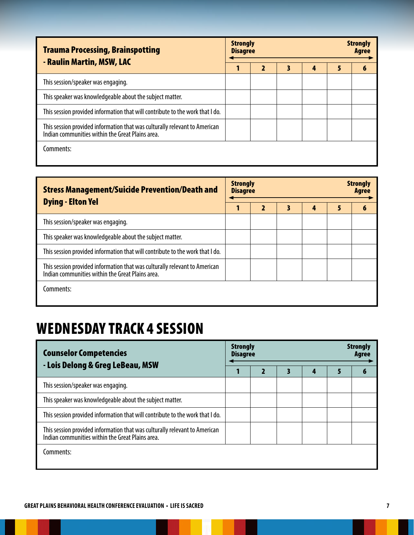| <b>Trauma Processing, Brainspotting</b><br>- Raulin Martin, MSW, LAC                                                           | <b>Strongly</b><br><b>Disagree</b> |   | <b>Strongly</b><br><b>Agree</b> |   |   |   |
|--------------------------------------------------------------------------------------------------------------------------------|------------------------------------|---|---------------------------------|---|---|---|
|                                                                                                                                |                                    | 2 | 3                               | 4 | 5 | 6 |
| This session/speaker was engaging.                                                                                             |                                    |   |                                 |   |   |   |
| This speaker was knowledgeable about the subject matter.                                                                       |                                    |   |                                 |   |   |   |
| This session provided information that will contribute to the work that I do.                                                  |                                    |   |                                 |   |   |   |
| This session provided information that was culturally relevant to American<br>Indian communities within the Great Plains area. |                                    |   |                                 |   |   |   |
| Comments:                                                                                                                      |                                    |   |                                 |   |   |   |

| <b>Stress Management/Suicide Prevention/Death and</b><br><b>Dying - Elton Yel</b>                                              | <b>Strongly</b><br><b>Strongly</b><br><b>Disagree</b><br>Agree |   |   |   |   |   |  |  |
|--------------------------------------------------------------------------------------------------------------------------------|----------------------------------------------------------------|---|---|---|---|---|--|--|
|                                                                                                                                |                                                                | 2 | 3 | 4 | 5 | 6 |  |  |
| This session/speaker was engaging.                                                                                             |                                                                |   |   |   |   |   |  |  |
| This speaker was knowledgeable about the subject matter.                                                                       |                                                                |   |   |   |   |   |  |  |
| This session provided information that will contribute to the work that I do.                                                  |                                                                |   |   |   |   |   |  |  |
| This session provided information that was culturally relevant to American<br>Indian communities within the Great Plains area. |                                                                |   |   |   |   |   |  |  |
| Comments:                                                                                                                      |                                                                |   |   |   |   |   |  |  |

### WEDNESDAY TRACK 4 SESSION

| <b>Counselor Competencies</b><br>- Lois Delong & Greg LeBeau, MSW                                                              | <b>Strongly</b><br><b>Disagree</b> |   | <b>Strongly</b><br>Agree |   |   |   |
|--------------------------------------------------------------------------------------------------------------------------------|------------------------------------|---|--------------------------|---|---|---|
|                                                                                                                                |                                    | 2 | 3                        | 4 | 5 | 6 |
| This session/speaker was engaging.                                                                                             |                                    |   |                          |   |   |   |
| This speaker was knowledgeable about the subject matter.                                                                       |                                    |   |                          |   |   |   |
| This session provided information that will contribute to the work that I do.                                                  |                                    |   |                          |   |   |   |
| This session provided information that was culturally relevant to American<br>Indian communities within the Great Plains area. |                                    |   |                          |   |   |   |
| Comments:                                                                                                                      |                                    |   |                          |   |   |   |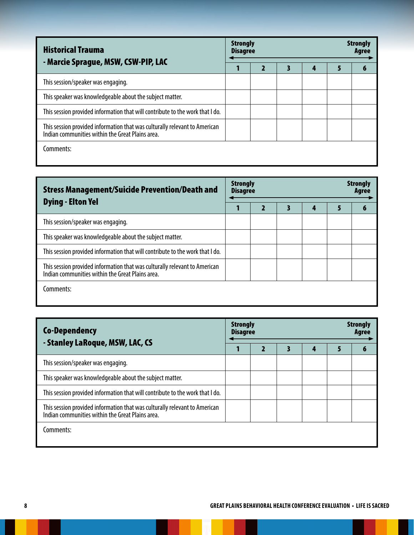| <b>Historical Trauma</b><br>- Marcie Sprague, MSW, CSW-PIP, LAC                                                                | <b>Strongly</b><br><b>Disagree</b> | <b>Strongly</b><br>Aaree |   |   |  |
|--------------------------------------------------------------------------------------------------------------------------------|------------------------------------|--------------------------|---|---|--|
|                                                                                                                                |                                    | 3                        | 4 | 5 |  |
| This session/speaker was engaging.                                                                                             |                                    |                          |   |   |  |
| This speaker was knowledgeable about the subject matter.                                                                       |                                    |                          |   |   |  |
| This session provided information that will contribute to the work that I do.                                                  |                                    |                          |   |   |  |
| This session provided information that was culturally relevant to American<br>Indian communities within the Great Plains area. |                                    |                          |   |   |  |
| Comments:                                                                                                                      |                                    |                          |   |   |  |

| <b>Stress Management/Suicide Prevention/Death and</b><br><b>Dying - Elton Yel</b>                                              | <b>Strongly</b><br><b>Disagree</b> |  | <b>Strongly</b><br>Agree |   |  |
|--------------------------------------------------------------------------------------------------------------------------------|------------------------------------|--|--------------------------|---|--|
|                                                                                                                                |                                    |  | 4                        | 5 |  |
| This session/speaker was engaging.                                                                                             |                                    |  |                          |   |  |
| This speaker was knowledgeable about the subject matter.                                                                       |                                    |  |                          |   |  |
| This session provided information that will contribute to the work that I do.                                                  |                                    |  |                          |   |  |
| This session provided information that was culturally relevant to American<br>Indian communities within the Great Plains area. |                                    |  |                          |   |  |
| Comments:                                                                                                                      |                                    |  |                          |   |  |

| <b>Co-Dependency</b><br>- Stanley LaRoque, MSW, LAC, CS                                                                        |  | <b>Strongly</b><br><b>Strongly</b><br><b>Disagree</b> |  |   |   |  |  |  |  |
|--------------------------------------------------------------------------------------------------------------------------------|--|-------------------------------------------------------|--|---|---|--|--|--|--|
|                                                                                                                                |  |                                                       |  | 4 | 5 |  |  |  |  |
| This session/speaker was engaging.                                                                                             |  |                                                       |  |   |   |  |  |  |  |
| This speaker was knowledgeable about the subject matter.                                                                       |  |                                                       |  |   |   |  |  |  |  |
| This session provided information that will contribute to the work that I do.                                                  |  |                                                       |  |   |   |  |  |  |  |
| This session provided information that was culturally relevant to American<br>Indian communities within the Great Plains area. |  |                                                       |  |   |   |  |  |  |  |
| Comments:                                                                                                                      |  |                                                       |  |   |   |  |  |  |  |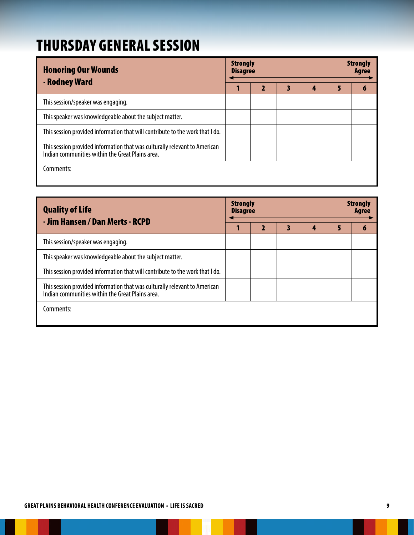### THURSDAY GENERAL SESSION

| <b>Honoring Our Wounds</b><br>- Rodney Ward                                                                                    | <b>Strongly</b><br><b>Disagree</b> |   |   | <b>Strongly</b><br><b>Agree</b> |   |   |
|--------------------------------------------------------------------------------------------------------------------------------|------------------------------------|---|---|---------------------------------|---|---|
|                                                                                                                                |                                    | 2 | 3 | 4                               | 5 | 6 |
| This session/speaker was engaging.                                                                                             |                                    |   |   |                                 |   |   |
| This speaker was knowledgeable about the subject matter.                                                                       |                                    |   |   |                                 |   |   |
| This session provided information that will contribute to the work that I do.                                                  |                                    |   |   |                                 |   |   |
| This session provided information that was culturally relevant to American<br>Indian communities within the Great Plains area. |                                    |   |   |                                 |   |   |
| Comments:                                                                                                                      |                                    |   |   |                                 |   |   |

| <b>Quality of Life</b><br>- Jim Hansen / Dan Merts - RCPD                                                                      | <b>Strongly</b><br><b>Disagree</b> |   | <b>Strongly</b><br>Agree |   |   |
|--------------------------------------------------------------------------------------------------------------------------------|------------------------------------|---|--------------------------|---|---|
|                                                                                                                                |                                    | 3 | 4                        | 5 | 6 |
| This session/speaker was engaging.                                                                                             |                                    |   |                          |   |   |
| This speaker was knowledgeable about the subject matter.                                                                       |                                    |   |                          |   |   |
| This session provided information that will contribute to the work that I do.                                                  |                                    |   |                          |   |   |
| This session provided information that was culturally relevant to American<br>Indian communities within the Great Plains area. |                                    |   |                          |   |   |
| Comments:                                                                                                                      |                                    |   |                          |   |   |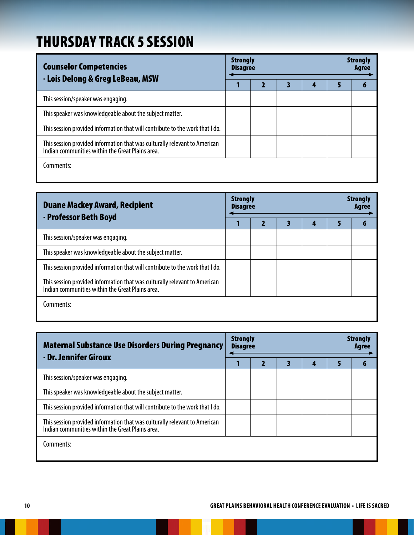### THURSDAY TRACK 5 SESSION

| <b>Counselor Competencies</b><br>- Lois Delong & Greg LeBeau, MSW                                                              | <b>Strongly</b><br><b>Disagree</b> |  | <b>Strongly</b><br>Agree |   |  |
|--------------------------------------------------------------------------------------------------------------------------------|------------------------------------|--|--------------------------|---|--|
|                                                                                                                                |                                    |  | 4                        | 5 |  |
| This session/speaker was engaging.                                                                                             |                                    |  |                          |   |  |
| This speaker was knowledgeable about the subject matter.                                                                       |                                    |  |                          |   |  |
| This session provided information that will contribute to the work that I do.                                                  |                                    |  |                          |   |  |
| This session provided information that was culturally relevant to American<br>Indian communities within the Great Plains area. |                                    |  |                          |   |  |
| Comments:                                                                                                                      |                                    |  |                          |   |  |

| <b>Duane Mackey Award, Recipient</b><br>- Professor Beth Boyd                                                                  | <b>Strongly</b><br><b>Disagree</b> |  | <b>Strongly</b><br>Aaree |   |  |
|--------------------------------------------------------------------------------------------------------------------------------|------------------------------------|--|--------------------------|---|--|
|                                                                                                                                |                                    |  | 4                        | 5 |  |
| This session/speaker was engaging.                                                                                             |                                    |  |                          |   |  |
| This speaker was knowledgeable about the subject matter.                                                                       |                                    |  |                          |   |  |
| This session provided information that will contribute to the work that I do.                                                  |                                    |  |                          |   |  |
| This session provided information that was culturally relevant to American<br>Indian communities within the Great Plains area. |                                    |  |                          |   |  |
| Comments:                                                                                                                      |                                    |  |                          |   |  |

| <b>Maternal Substance Use Disorders During Pregnancy</b><br>- Dr. Jennifer Giroux                                              | <b>Strongly</b><br><b>Strongly</b><br><b>Disagree</b><br>Agree |  |  |   |   |   |  |
|--------------------------------------------------------------------------------------------------------------------------------|----------------------------------------------------------------|--|--|---|---|---|--|
|                                                                                                                                |                                                                |  |  | A | 5 | 6 |  |
| This session/speaker was engaging.                                                                                             |                                                                |  |  |   |   |   |  |
| This speaker was knowledgeable about the subject matter.                                                                       |                                                                |  |  |   |   |   |  |
| This session provided information that will contribute to the work that I do.                                                  |                                                                |  |  |   |   |   |  |
| This session provided information that was culturally relevant to American<br>Indian communities within the Great Plains area. |                                                                |  |  |   |   |   |  |
| Comments:                                                                                                                      |                                                                |  |  |   |   |   |  |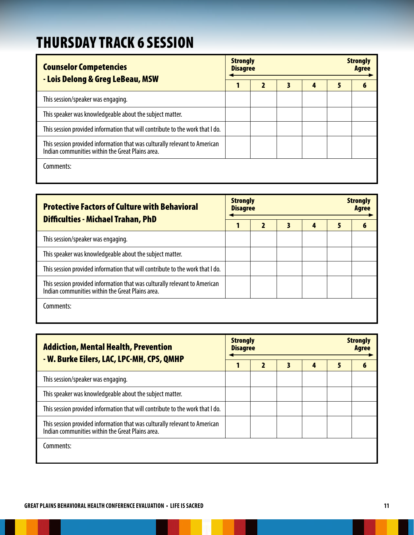### THURSDAY TRACK 6 SESSION

| <b>Counselor Competencies</b><br>- Lois Delong & Greg LeBeau, MSW                                                              | <b>Strongly</b><br><b>Strongly</b><br><b>Disagree</b><br><b>Agree</b> |                         |   |   |   |   |  |
|--------------------------------------------------------------------------------------------------------------------------------|-----------------------------------------------------------------------|-------------------------|---|---|---|---|--|
|                                                                                                                                |                                                                       | $\overline{\mathbf{2}}$ | 3 | 4 | 5 | 6 |  |
| This session/speaker was engaging.                                                                                             |                                                                       |                         |   |   |   |   |  |
| This speaker was knowledgeable about the subject matter.                                                                       |                                                                       |                         |   |   |   |   |  |
| This session provided information that will contribute to the work that I do.                                                  |                                                                       |                         |   |   |   |   |  |
| This session provided information that was culturally relevant to American<br>Indian communities within the Great Plains area. |                                                                       |                         |   |   |   |   |  |
| Comments:                                                                                                                      |                                                                       |                         |   |   |   |   |  |

| <b>Protective Factors of Culture with Behavioral</b><br><b>Difficulties - Michael Trahan, PhD</b>                              | <b>Strongly</b><br><b>Strongly</b><br><b>Disagree</b><br><b>Agree</b> |  |   |   |   |   |  |
|--------------------------------------------------------------------------------------------------------------------------------|-----------------------------------------------------------------------|--|---|---|---|---|--|
|                                                                                                                                |                                                                       |  | 3 | 4 | 5 | 6 |  |
| This session/speaker was engaging.                                                                                             |                                                                       |  |   |   |   |   |  |
| This speaker was knowledgeable about the subject matter.                                                                       |                                                                       |  |   |   |   |   |  |
| This session provided information that will contribute to the work that I do.                                                  |                                                                       |  |   |   |   |   |  |
| This session provided information that was culturally relevant to American<br>Indian communities within the Great Plains area. |                                                                       |  |   |   |   |   |  |
| Comments:                                                                                                                      |                                                                       |  |   |   |   |   |  |

| <b>Addiction, Mental Health, Prevention</b><br>- W. Burke Eilers, LAC, LPC-MH, CPS, QMHP                                       | <b>Strongly</b><br><b>Strongly</b><br><b>Disagree</b><br><b>Agree</b> |                         |   |            |  |   |  |
|--------------------------------------------------------------------------------------------------------------------------------|-----------------------------------------------------------------------|-------------------------|---|------------|--|---|--|
|                                                                                                                                |                                                                       | $\overline{\mathbf{z}}$ | 3 | $\epsilon$ |  | 6 |  |
| This session/speaker was engaging.                                                                                             |                                                                       |                         |   |            |  |   |  |
| This speaker was knowledgeable about the subject matter.                                                                       |                                                                       |                         |   |            |  |   |  |
| This session provided information that will contribute to the work that I do.                                                  |                                                                       |                         |   |            |  |   |  |
| This session provided information that was culturally relevant to American<br>Indian communities within the Great Plains area. |                                                                       |                         |   |            |  |   |  |
| Comments:                                                                                                                      |                                                                       |                         |   |            |  |   |  |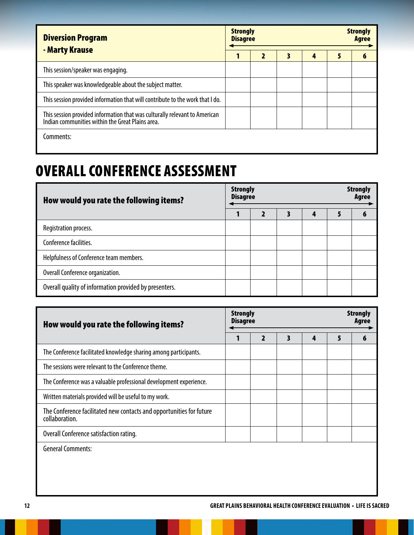| <b>Diversion Program</b><br>- Marty Krause                                                                                     | <b>Strongly</b><br><b>Strongly</b><br><b>Disagree</b><br><b>Agree</b> |  |   |   |   |  |
|--------------------------------------------------------------------------------------------------------------------------------|-----------------------------------------------------------------------|--|---|---|---|--|
|                                                                                                                                |                                                                       |  | 3 | 4 | 5 |  |
| This session/speaker was engaging.                                                                                             |                                                                       |  |   |   |   |  |
| This speaker was knowledgeable about the subject matter.                                                                       |                                                                       |  |   |   |   |  |
| This session provided information that will contribute to the work that I do.                                                  |                                                                       |  |   |   |   |  |
| This session provided information that was culturally relevant to American<br>Indian communities within the Great Plains area. |                                                                       |  |   |   |   |  |
| Comments:                                                                                                                      |                                                                       |  |   |   |   |  |

### OVERALL CONFERENCE ASSESSMENT

| How would you rate the following items?                | <b>Strongly</b><br><b>Disagree</b> |  | <b>Strongly</b><br>Agree |  |  |
|--------------------------------------------------------|------------------------------------|--|--------------------------|--|--|
|                                                        |                                    |  | 4                        |  |  |
| Registration process.                                  |                                    |  |                          |  |  |
| Conference facilities.                                 |                                    |  |                          |  |  |
| Helpfulness of Conference team members.                |                                    |  |                          |  |  |
| Overall Conference organization.                       |                                    |  |                          |  |  |
| Overall quality of information provided by presenters. |                                    |  |                          |  |  |

| How would you rate the following items?                                                | <b>Strongly</b><br><b>Disagree</b> |  | <b>Strongly</b><br>Agree |   |   |   |
|----------------------------------------------------------------------------------------|------------------------------------|--|--------------------------|---|---|---|
|                                                                                        |                                    |  | 3                        | 4 | 5 | 6 |
| The Conference facilitated knowledge sharing among participants.                       |                                    |  |                          |   |   |   |
| The sessions were relevant to the Conference theme.                                    |                                    |  |                          |   |   |   |
| The Conference was a valuable professional development experience.                     |                                    |  |                          |   |   |   |
| Written materials provided will be useful to my work.                                  |                                    |  |                          |   |   |   |
| The Conference facilitated new contacts and opportunities for future<br>collaboration. |                                    |  |                          |   |   |   |
| Overall Conference satisfaction rating.                                                |                                    |  |                          |   |   |   |
| <b>General Comments:</b>                                                               |                                    |  |                          |   |   |   |